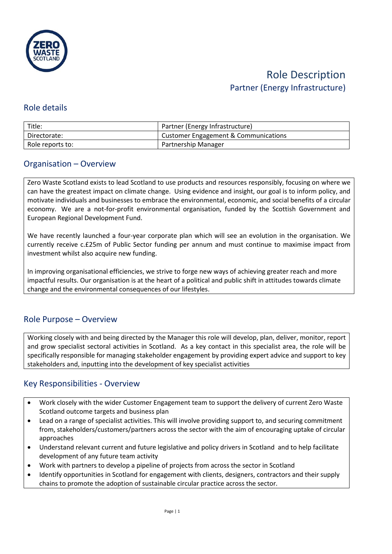

## Role details

| Title:           | Partner (Energy Infrastructure)      |
|------------------|--------------------------------------|
| Directorate:     | Customer Engagement & Communications |
| Role reports to: | Partnership Manager                  |

### Organisation – Overview

Zero Waste Scotland exists to lead Scotland to use products and resources responsibly, focusing on where we can have the greatest impact on climate change. Using evidence and insight, our goal is to inform policy, and motivate individuals and businesses to embrace the environmental, economic, and social benefits of a circular economy. We are a not-for-profit environmental organisation, funded by the Scottish Government and European Regional Development Fund.

We have recently launched a four-year corporate plan which will see an evolution in the organisation. We currently receive c.£25m of Public Sector funding per annum and must continue to maximise impact from investment whilst also acquire new funding.

In improving organisational efficiencies, we strive to forge new ways of achieving greater reach and more impactful results. Our organisation is at the heart of a political and public shift in attitudes towards climate change and the environmental consequences of our lifestyles.

# Role Purpose – Overview

Working closely with and being directed by the Manager this role will develop, plan, deliver, monitor, report and grow specialist sectoral activities in Scotland. As a key contact in this specialist area, the role will be specifically responsible for managing stakeholder engagement by providing expert advice and support to key stakeholders and, inputting into the development of key specialist activities

# Key Responsibilities - Overview

- Work closely with the wider Customer Engagement team to support the delivery of current Zero Waste Scotland outcome targets and business plan
- Lead on a range of specialist activities. This will involve providing support to, and securing commitment from, stakeholders/customers/partners across the sector with the aim of encouraging uptake of circular approaches
- Understand relevant current and future legislative and policy drivers in Scotland and to help facilitate development of any future team activity
- Work with partners to develop a pipeline of projects from across the sector in Scotland
- Identify opportunities in Scotland for engagement with clients, designers, contractors and their supply chains to promote the adoption of sustainable circular practice across the sector.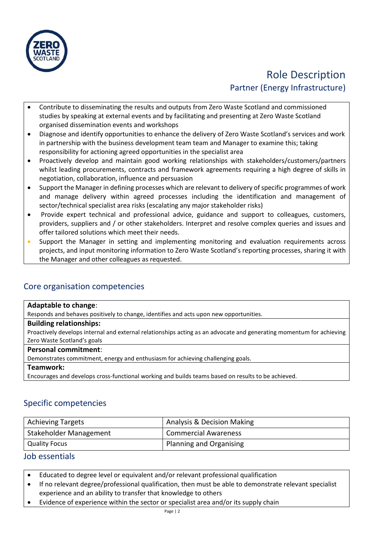

- Contribute to disseminating the results and outputs from Zero Waste Scotland and commissioned studies by speaking at external events and by facilitating and presenting at Zero Waste Scotland organised dissemination events and workshops
- Diagnose and identify opportunities to enhance the delivery of Zero Waste Scotland's services and work in partnership with the business development team team and Manager to examine this; taking responsibility for actioning agreed opportunities in the specialist area
- Proactively develop and maintain good working relationships with stakeholders/customers/partners whilst leading procurements, contracts and framework agreements requiring a high degree of skills in negotiation, collaboration, influence and persuasion
- Support the Manager in defining processes which are relevant to delivery of specific programmes of work and manage delivery within agreed processes including the identification and management of sector/technical specialist area risks (escalating any major stakeholder risks)
- Provide expert technical and professional advice, guidance and support to colleagues, customers, providers, suppliers and / or other stakeholders. Interpret and resolve complex queries and issues and offer tailored solutions which meet their needs.
- Support the Manager in setting and implementing monitoring and evaluation requirements across projects, and input monitoring information to Zero Waste Scotland's reporting processes, sharing it with the Manager and other colleagues as requested.

# Core organisation competencies

#### **Adaptable to change**:

Responds and behaves positively to change, identifies and acts upon new opportunities.

#### **Building relationships:**

Proactively develops internal and external relationships acting as an advocate and generating momentum for achieving Zero Waste Scotland's goals

#### **Personal commitment**:

Demonstrates commitment, energy and enthusiasm for achieving challenging goals.

#### **Teamwork:**

Encourages and develops cross-functional working and builds teams based on results to be achieved.

# Specific competencies

| <b>Achieving Targets</b> | Analysis & Decision Making  |
|--------------------------|-----------------------------|
| Stakeholder Management   | <b>Commercial Awareness</b> |
| <b>Quality Focus</b>     | Planning and Organising     |

### Job essentials

- Educated to degree level or equivalent and/or relevant professional qualification
- If no relevant degree/professional qualification, then must be able to demonstrate relevant specialist experience and an ability to transfer that knowledge to others
- Evidence of experience within the sector or specialist area and/or its supply chain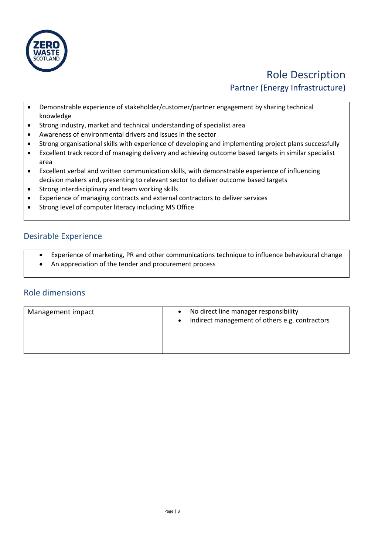

- Demonstrable experience of stakeholder/customer/partner engagement by sharing technical knowledge
- Strong industry, market and technical understanding of specialist area
- Awareness of environmental drivers and issues in the sector
- Strong organisational skills with experience of developing and implementing project plans successfully
- Excellent track record of managing delivery and achieving outcome based targets in similar specialist area
- Excellent verbal and written communication skills, with demonstrable experience of influencing decision makers and, presenting to relevant sector to deliver outcome based targets
- Strong interdisciplinary and team working skills
- Experience of managing contracts and external contractors to deliver services
- Strong level of computer literacy including MS Office

### Desirable Experience

- Experience of marketing, PR and other communications technique to influence behavioural change
- An appreciation of the tender and procurement process

# Role dimensions

| Management impact | No direct line manager responsibility<br>$\bullet$<br>Indirect management of others e.g. contractors<br>$\bullet$ |
|-------------------|-------------------------------------------------------------------------------------------------------------------|
|-------------------|-------------------------------------------------------------------------------------------------------------------|